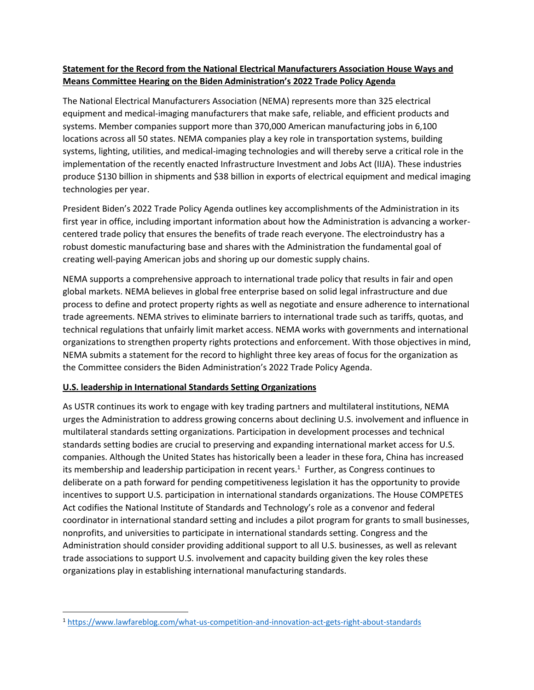## **Statement for the Record from the National Electrical Manufacturers Association House Ways and Means Committee Hearing on the Biden Administration's 2022 Trade Policy Agenda**

The National Electrical Manufacturers Association (NEMA) represents more than 325 electrical equipment and medical-imaging manufacturers that make safe, reliable, and efficient products and systems. Member companies support more than 370,000 American manufacturing jobs in 6,100 locations across all 50 states. NEMA companies play a key role in transportation systems, building systems, lighting, utilities, and medical-imaging technologies and will thereby serve a critical role in the implementation of the recently enacted Infrastructure Investment and Jobs Act (IIJA). These industries produce \$130 billion in shipments and \$38 billion in exports of electrical equipment and medical imaging technologies per year.

President Biden's 2022 Trade Policy Agenda outlines key accomplishments of the Administration in its first year in office, including important information about how the Administration is advancing a workercentered trade policy that ensures the benefits of trade reach everyone. The electroindustry has a robust domestic manufacturing base and shares with the Administration the fundamental goal of creating well-paying American jobs and shoring up our domestic supply chains.

NEMA supports a comprehensive approach to international trade policy that results in fair and open global markets. NEMA believes in global free enterprise based on solid legal infrastructure and due process to define and protect property rights as well as negotiate and ensure adherence to international trade agreements. NEMA strives to eliminate barriers to international trade such as tariffs, quotas, and technical regulations that unfairly limit market access. NEMA works with governments and international organizations to strengthen property rights protections and enforcement. With those objectives in mind, NEMA submits a statement for the record to highlight three key areas of focus for the organization as the Committee considers the Biden Administration's 2022 Trade Policy Agenda.

## **U.S. leadership in International Standards Setting Organizations**

As USTR continues its work to engage with key trading partners and multilateral institutions, NEMA urges the Administration to address growing concerns about declining U.S. involvement and influence in multilateral standards setting organizations. Participation in development processes and technical standards setting bodies are crucial to preserving and expanding international market access for U.S. companies. Although the United States has historically been a leader in these fora, China has increased its membership and leadership participation in recent years.<sup>1</sup> Further, as Congress continues to deliberate on a path forward for pending competitiveness legislation it has the opportunity to provide incentives to support U.S. participation in international standards organizations. The House COMPETES Act codifies the National Institute of Standards and Technology's role as a convenor and federal coordinator in international standard setting and includes a pilot program for grants to small businesses, nonprofits, and universities to participate in international standards setting. Congress and the Administration should consider providing additional support to all U.S. businesses, as well as relevant trade associations to support U.S. involvement and capacity building given the key roles these organizations play in establishing international manufacturing standards.

<sup>1</sup> <https://www.lawfareblog.com/what-us-competition-and-innovation-act-gets-right-about-standards>